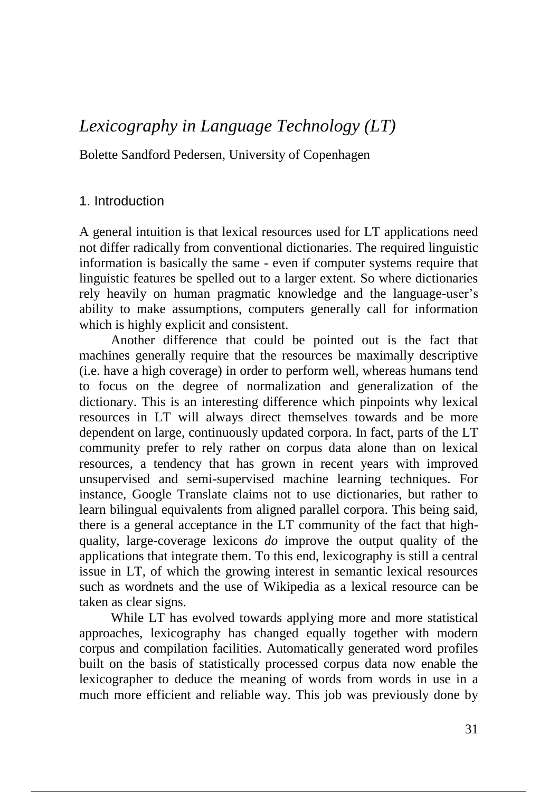# *Lexicography in Language Technology (LT)*

Bolette Sandford Pedersen, University of Copenhagen

#### 1. Introduction

A general intuition is that lexical resources used for LT applications need not differ radically from conventional dictionaries. The required linguistic information is basically the same - even if computer systems require that linguistic features be spelled out to a larger extent. So where dictionaries rely heavily on human pragmatic knowledge and the language-user's ability to make assumptions, computers generally call for information which is highly explicit and consistent.

Another difference that could be pointed out is the fact that machines generally require that the resources be maximally descriptive (i.e. have a high coverage) in order to perform well, whereas humans tend to focus on the degree of normalization and generalization of the dictionary. This is an interesting difference which pinpoints why lexical resources in LT will always direct themselves towards and be more dependent on large, continuously updated corpora. In fact, parts of the LT community prefer to rely rather on corpus data alone than on lexical resources, a tendency that has grown in recent years with improved unsupervised and semi-supervised machine learning techniques. For instance, Google Translate claims not to use dictionaries, but rather to learn bilingual equivalents from aligned parallel corpora. This being said, there is a general acceptance in the LT community of the fact that highquality, large-coverage lexicons *do* improve the output quality of the applications that integrate them. To this end, lexicography is still a central issue in LT, of which the growing interest in semantic lexical resources such as wordnets and the use of Wikipedia as a lexical resource can be taken as clear signs.

While LT has evolved towards applying more and more statistical approaches, lexicography has changed equally together with modern corpus and compilation facilities. Automatically generated word profiles built on the basis of statistically processed corpus data now enable the lexicographer to deduce the meaning of words from words in use in a much more efficient and reliable way. This job was previously done by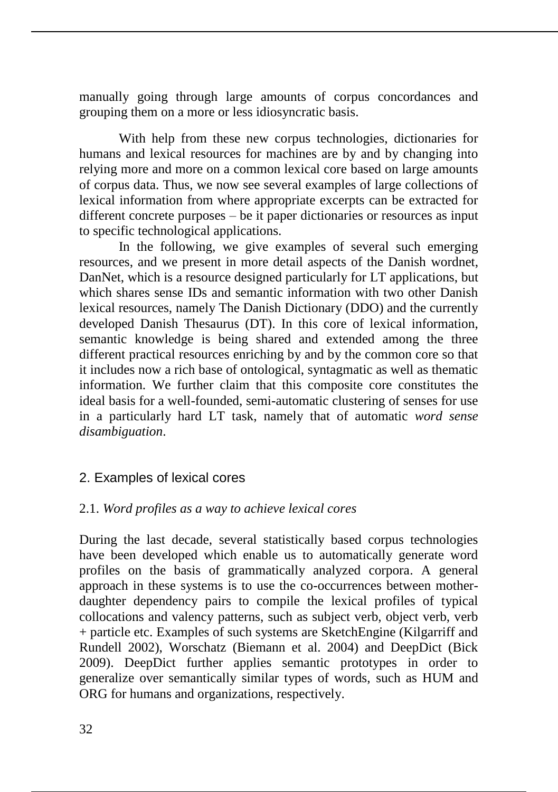manually going through large amounts of corpus concordances and grouping them on a more or less idiosyncratic basis.

With help from these new corpus technologies, dictionaries for humans and lexical resources for machines are by and by changing into relying more and more on a common lexical core based on large amounts of corpus data. Thus, we now see several examples of large collections of lexical information from where appropriate excerpts can be extracted for different concrete purposes – be it paper dictionaries or resources as input to specific technological applications.

In the following, we give examples of several such emerging resources, and we present in more detail aspects of the Danish wordnet, DanNet, which is a resource designed particularly for LT applications, but which shares sense IDs and semantic information with two other Danish lexical resources, namely The Danish Dictionary (DDO) and the currently developed Danish Thesaurus (DT). In this core of lexical information, semantic knowledge is being shared and extended among the three different practical resources enriching by and by the common core so that it includes now a rich base of ontological, syntagmatic as well as thematic information. We further claim that this composite core constitutes the ideal basis for a well-founded, semi-automatic clustering of senses for use in a particularly hard LT task, namely that of automatic *word sense disambiguation*.

# 2. Examples of lexical cores

# 2.1. *Word profiles as a way to achieve lexical cores*

During the last decade, several statistically based corpus technologies have been developed which enable us to automatically generate word profiles on the basis of grammatically analyzed corpora. A general approach in these systems is to use the co-occurrences between motherdaughter dependency pairs to compile the lexical profiles of typical collocations and valency patterns, such as subject verb, object verb, verb + particle etc. Examples of such systems are SketchEngine (Kilgarriff and Rundell 2002), Worschatz (Biemann et al. 2004) and DeepDict (Bick 2009). DeepDict further applies semantic prototypes in order to generalize over semantically similar types of words, such as HUM and ORG for humans and organizations, respectively.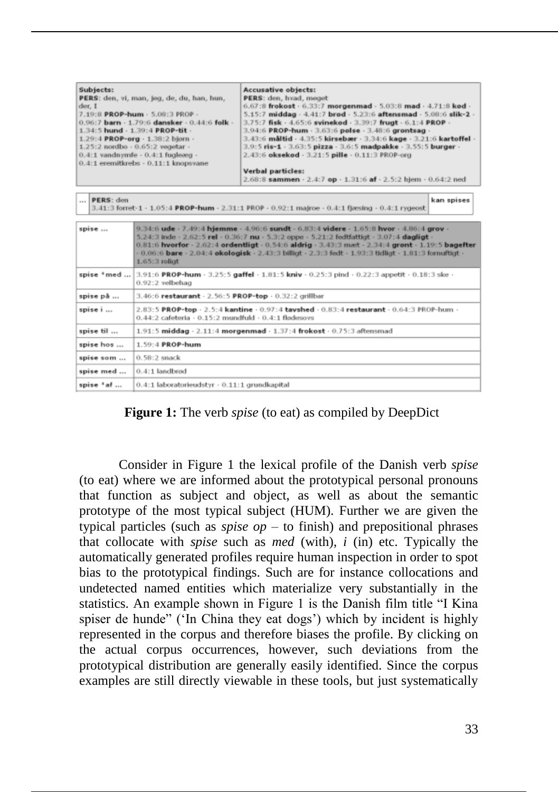| Subjects:<br>der, I | Accusative objects:<br>PERS: den, hvad, meget<br>PERS: den, vi, man, jeg, de, du, han, hun,<br>7.19:8 PROP-hum - 5.08:3 PROP -<br>0.96:7 barn - 1.79:6 dansker - 0.44:6 folk -<br>1.34:5 hund - 1.39:4 PROP-tit -<br>1.29:4 PROP-org - 1.38:2 bjorn -<br>1.25:2 nordbo · 0.65:2 vegetar -<br>$0.4:1$ vandnymfe - $0.4:1$ fugleceg -<br>0.4:1 eremitkrebs - 0.11:1 knopsvane<br>Verbal particles: | 6.67:8 frokost - 6.33:7 morgenmad - 5.03:8 mad - 4.71:8 kod -<br>5.15:7 middag - 4.41:7 brod - 5.23:6 aftensmad - 5.08:6 slik-2 -<br>3.75:7 fisk - 4.65:6 svinekod - 3.39:7 frugt - 6.1:4 PROP -<br>3.94:6 PROP-hum - 3.63:6 polse - 3.48:6 grontsag -<br>3,43:6 måltid · 4,35:5 kirsebær · 3,34:6 kage · 3.21:6 kartoffel ·<br>3.9:5 ris-1 - 3.63:5 pizza - 3.6:5 madpakke - 3.55:5 burger -<br>2.43:6 oksekod - 3.21:5 pille - 0.11:3 PROP-org<br>2.68:8 sammen · 2.4:7 op · 1.31:6 af · 2.5:2 hjem · 0.64:2 ned |  |
|---------------------|--------------------------------------------------------------------------------------------------------------------------------------------------------------------------------------------------------------------------------------------------------------------------------------------------------------------------------------------------------------------------------------------------|--------------------------------------------------------------------------------------------------------------------------------------------------------------------------------------------------------------------------------------------------------------------------------------------------------------------------------------------------------------------------------------------------------------------------------------------------------------------------------------------------------------------|--|
| PERS: den           | 3.41:3 forret-1 - 1.05:4 PROP-hum - 2.31:1 PROP - 0.92:1 majroe - 0.4:1 fiesing - 0.4:1 rygeost                                                                                                                                                                                                                                                                                                  | kan spises                                                                                                                                                                                                                                                                                                                                                                                                                                                                                                         |  |
| spise               | 5.24:3 inde - 2.62:5 rel - 0.36:7 nu - 5.3:2 oppe - 5.21:2 fedtfattigt - 3.07:4 dagligt -<br>$1.65:3$ rollat                                                                                                                                                                                                                                                                                     | 9.34:6 ude - 7.49:4 hjemme - 4.96:6 sundt - 6.83:4 videre - 1.65:8 hvor - 4.86:4 grov -<br>0.81:6 hvorfor - 2.62:4 ordentligt - 0.54:6 aldrig - 3.43:3 maet - 2.34:4 gront - 1.19:5 bagefter<br>$-0.06$ :6 bare $-2.04$ :4 okologisk $-2.43$ :3 billigt $-2.3$ :3 fedt $-1.93$ :3 tidligt $-1.81$ :3 fornuftigt $-$                                                                                                                                                                                                |  |
| spise *med          | $0.92:2$ velbehag                                                                                                                                                                                                                                                                                                                                                                                | $3.91:6$ PROP-hum - 3.25:5 gaffel - 1.81:5 kniv - 0.25:3 pind - 0.22:3 appetit - 0.18:3 ske -                                                                                                                                                                                                                                                                                                                                                                                                                      |  |
| spise på            | 3.46:6 restaurant - 2.56:5 PROP-top - 0.32:2 grillbar                                                                                                                                                                                                                                                                                                                                            |                                                                                                                                                                                                                                                                                                                                                                                                                                                                                                                    |  |
| spise i             | 2.83:5 PROP-top - 2.5:4 kantine - 0.97:4 tavshed - 0.83:4 restaurant - 0.64:3 PROP-hum -<br>$0.44:2$ cafeteria $+0.15:2$ mundfuld $+0.4:1$ flodesovs                                                                                                                                                                                                                                             |                                                                                                                                                                                                                                                                                                                                                                                                                                                                                                                    |  |
| spise til           | $1.91:5$ middag - $2.11:4$ morgenmad - $1.37:4$ frokost - $0.75:3$ aftensmad                                                                                                                                                                                                                                                                                                                     |                                                                                                                                                                                                                                                                                                                                                                                                                                                                                                                    |  |
| spise hos           | 1.59:4 PROP-hum                                                                                                                                                                                                                                                                                                                                                                                  |                                                                                                                                                                                                                                                                                                                                                                                                                                                                                                                    |  |
| spise som           | 0.58:2 snack                                                                                                                                                                                                                                                                                                                                                                                     |                                                                                                                                                                                                                                                                                                                                                                                                                                                                                                                    |  |
| spise med           | $0.4:1$ landbrod                                                                                                                                                                                                                                                                                                                                                                                 |                                                                                                                                                                                                                                                                                                                                                                                                                                                                                                                    |  |
| spise *af           | 0.4:1 laboratorieudstyr · 0.11:1 grundkapital                                                                                                                                                                                                                                                                                                                                                    |                                                                                                                                                                                                                                                                                                                                                                                                                                                                                                                    |  |

**Figure 1:** The verb *spise* (to eat) as compiled by DeepDict

Consider in Figure 1 the lexical profile of the Danish verb *spise* (to eat) where we are informed about the prototypical personal pronouns that function as subject and object, as well as about the semantic prototype of the most typical subject (HUM). Further we are given the typical particles (such as *spise op* – to finish) and prepositional phrases that collocate with *spise* such as *med* (with), *i* (in) etc. Typically the automatically generated profiles require human inspection in order to spot bias to the prototypical findings. Such are for instance collocations and undetected named entities which materialize very substantially in the statistics. An example shown in Figure 1 is the Danish film title "I Kina spiser de hunde" ('In China they eat dogs') which by incident is highly represented in the corpus and therefore biases the profile. By clicking on the actual corpus occurrences, however, such deviations from the prototypical distribution are generally easily identified. Since the corpus examples are still directly viewable in these tools, but just systematically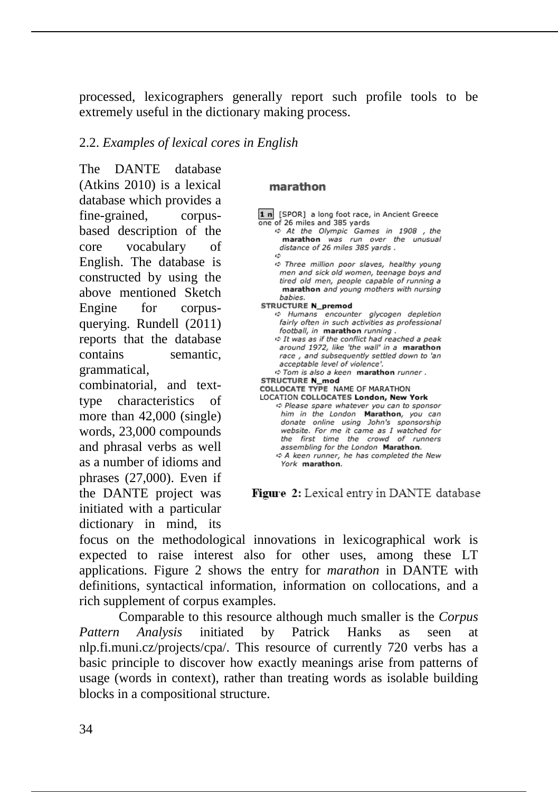processed, lexicographers generally report such profile tools to be extremely useful in the dictionary making process.

# 2.2. *Examples of lexical cores in English*

The DANTE database (Atkins 2010) is a lexical database which provides a fine-grained, corpusbased description of the core vocabulary of English. The database is constructed by using the above mentioned Sketch Engine for corpusquerying. Rundell (2011) reports that the database contains semantic, grammatical,

combinatorial, and texttype characteristics of more than 42,000 (single) words, 23,000 compounds and phrasal verbs as well as a number of idioms and phrases (27,000). Even if the DANTE project was initiated with a particular dictionary in mind, its

#### marathon

- 1 n [SPOR] a long foot race, in Ancient Greece one of 26 miles and 385 yards
	- ☆ At the Olympic Games in 1908, the marathon was run over the unusual distance of 26 miles 385 yards. c.
	- ↔ Three million poor slaves, healthy young men and sick old women, teenage boys and tired old men, people capable of running a marathon and young mothers with nursing babies.
- **STRUCTURE N\_premod** ↔ Humans encounter glycogen depletion fairly often in such activities as professional football, in marathon running.
	- ↔ It was as if the conflict had reached a peak around 1972, like 'the wall' in a marathon race, and subsequently settled down to 'an acceptable level of violence'.
- ¢ Tom is also a keen marathon runner.
- **STRUCTURE N\_mod** COLLOCATE TYPE NAME OF MARATHON
- LOCATION COLLOCATES London, New York
- ¢ Please spare whatever you can to sponsor him in the London Marathon, you can donate online using John's sponsorship website. For me it came as I watched for the first time the crowd of runners assembling for the London Marathon. ☆ A keen runner, he has completed the New York marathon.

Figure 2: Lexical entry in DANTE database

focus on the methodological innovations in lexicographical work is expected to raise interest also for other uses, among these LT applications. Figure 2 shows the entry for *marathon* in DANTE with definitions, syntactical information, information on collocations, and a rich supplement of corpus examples.

Comparable to this resource although much smaller is the *Corpus Pattern Analysis* initiated by Patrick Hanks as seen at nlp.fi.muni.cz/projects/cpa/. This resource of currently 720 verbs has a basic principle to discover how exactly meanings arise from patterns of usage (words in context), rather than treating words as isolable building blocks in a compositional structure.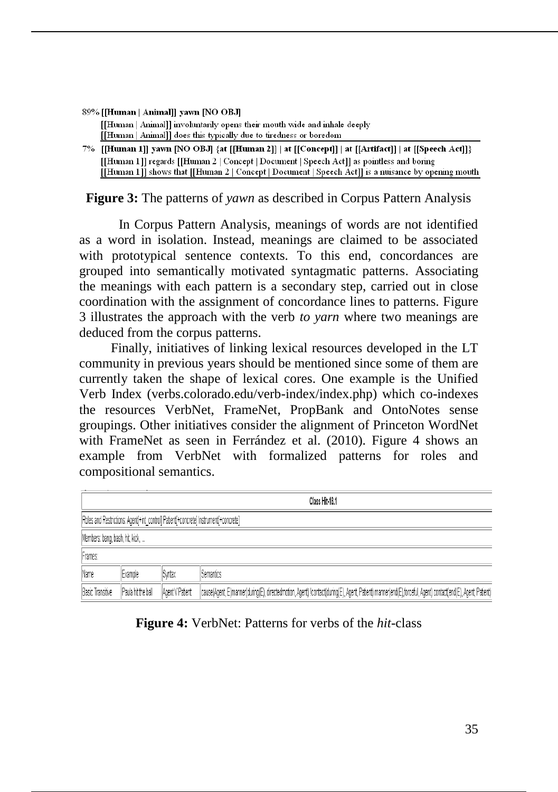| 89% [[Human   Animal]] yawn [NO OBJ]                                     |
|--------------------------------------------------------------------------|
| [Human   Animal]] involuntarily opens their mouth wide and inhale deeply |
| [[Human   Animal]] does this typically due to tiredness or boredom       |

7% [[Human 1]] yawn [NO OBJ] {at [[Human 2]] | at [[Concept]] | at [[Artifact]] | at [[Speech Act]]} [[Human 1]] regards [[Human 2 | Concept | Document | Speech Act]] as pointless and boring [[Human 1]] shows that [[Human 2 | Concept | Document | Speech Act]] is a nuisance by opening mouth

**Figure 3:** The patterns of *yawn* as described in Corpus Pattern Analysis

In Corpus Pattern Analysis, meanings of words are not identified as a word in isolation. Instead, meanings are claimed to be associated with prototypical sentence contexts. To this end, concordances are grouped into semantically motivated syntagmatic patterns. Associating the meanings with each pattern is a secondary step, carried out in close coordination with the assignment of concordance lines to patterns. Figure 3 illustrates the approach with the verb *to yarn* where two meanings are deduced from the corpus patterns.

Finally, initiatives of linking lexical resources developed in the LT community in previous years should be mentioned since some of them are currently taken the shape of lexical cores. One example is the Unified Verb Index (verbs.colorado.edu/verb-index/index.php) which co-indexes the resources VerbNet, FrameNet, PropBank and OntoNotes sense groupings. Other initiatives consider the alignment of Princeton WordNet with FrameNet as seen in Ferrández et al. (2010). Figure 4 shows an example from VerbNet with formalized patterns for roles and compositional semantics.

|                                 |                    |                 | Class Hit 18.1                                                                                                                                             |
|---------------------------------|--------------------|-----------------|------------------------------------------------------------------------------------------------------------------------------------------------------------|
|                                 |                    |                 | Roles and Restrictions: Agent[+int_control] Patient[+concrete] Instrument[+concrete]                                                                       |
| Members: bang, bash, hit, kick, |                    |                 |                                                                                                                                                            |
| Frames:                         |                    |                 |                                                                                                                                                            |
| Name                            | Example            | <b>ISyntax</b>  | Semantics                                                                                                                                                  |
| <b>Basic Transitive</b>         | Paula hit the ball | Agent V Patient | cause(Agent, E)manner(during(E), directedmotion, Agent) Icontact(during(E), Agent, Patient) manner(end(E),forceful, Agent) contact(end(E), Agent, Patient) |

**Figure 4:** VerbNet: Patterns for verbs of the *hit*-class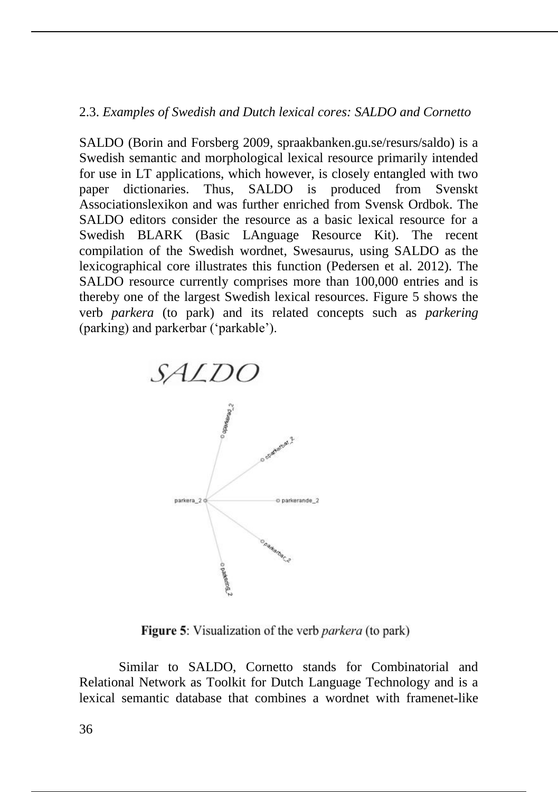#### 2.3. *Examples of Swedish and Dutch lexical cores: SALDO and Cornetto*

SALDO (Borin and Forsberg 2009, spraakbanken.gu.se/resurs/saldo) is a Swedish semantic and morphological lexical resource primarily intended for use in LT applications, which however, is closely entangled with two paper dictionaries. Thus, SALDO is produced from Svenskt Associationslexikon and was further enriched from Svensk Ordbok. The SALDO editors consider the resource as a basic lexical resource for a Swedish BLARK (Basic LAnguage Resource Kit). The recent compilation of the Swedish wordnet, Swesaurus, using SALDO as the lexicographical core illustrates this function (Pedersen et al. 2012). The SALDO resource currently comprises more than 100,000 entries and is thereby one of the largest Swedish lexical resources. Figure 5 shows the verb *parkera* (to park) and its related concepts such as *parkering*  (parking) and parkerbar ('parkable').



**Figure 5:** Visualization of the verb *parkera* (to park)

Similar to SALDO, Cornetto stands for Combinatorial and Relational Network as Toolkit for Dutch Language Technology and is a lexical semantic database that combines a wordnet with framenet-like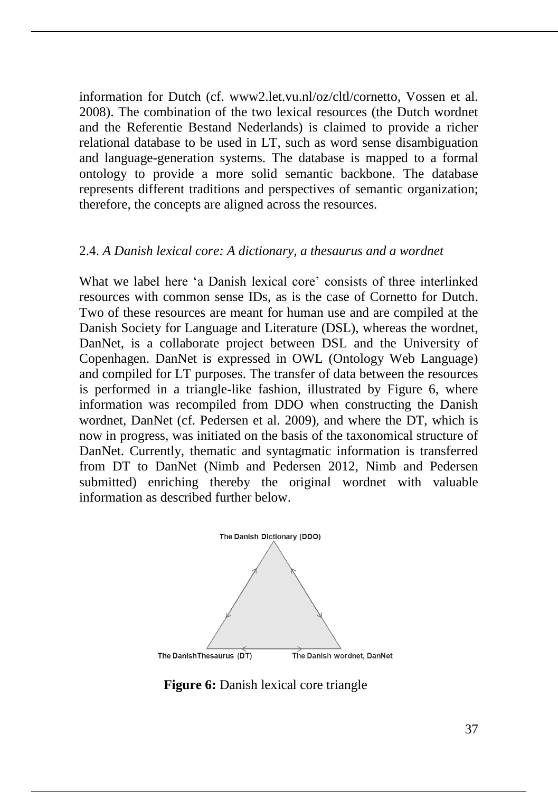information for Dutch (cf. www2.let.vu.nl/oz/cltl/cornetto, Vossen et al. 2008). The combination of the two lexical resources (the Dutch wordnet and the Referentie Bestand Nederlands) is claimed to provide a richer relational database to be used in LT, such as word sense disambiguation and language-generation systems. The database is mapped to a formal ontology to provide a more solid semantic backbone. The database represents different traditions and perspectives of semantic organization; therefore, the concepts are aligned across the resources.

#### 2.4. *A Danish lexical core: A dictionary, a thesaurus and a wordnet*

What we label here 'a Danish lexical core' consists of three interlinked resources with common sense IDs, as is the case of Cornetto for Dutch. Two of these resources are meant for human use and are compiled at the Danish Society for Language and Literature (DSL), whereas the wordnet, DanNet, is a collaborate project between DSL and the University of Copenhagen. DanNet is expressed in OWL (Ontology Web Language) and compiled for LT purposes. The transfer of data between the resources is performed in a triangle-like fashion, illustrated by Figure 6, where information was recompiled from DDO when constructing the Danish wordnet, DanNet (cf. Pedersen et al. 2009), and where the DT, which is now in progress, was initiated on the basis of the taxonomical structure of DanNet. Currently, thematic and syntagmatic information is transferred from DT to DanNet (Nimb and Pedersen 2012, Nimb and Pedersen submitted) enriching thereby the original wordnet with valuable information as described further below.



**Figure 6:** Danish lexical core triangle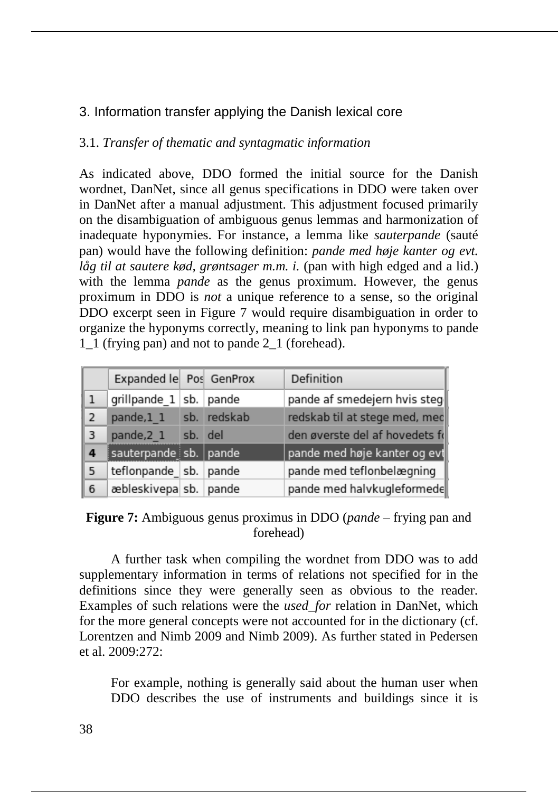# 3. Information transfer applying the Danish lexical core

# 3.1. *Transfer of thematic and syntagmatic information*

As indicated above, DDO formed the initial source for the Danish wordnet, DanNet, since all genus specifications in DDO were taken over in DanNet after a manual adjustment. This adjustment focused primarily on the disambiguation of ambiguous genus lemmas and harmonization of inadequate hyponymies. For instance, a lemma like *sauterpande* (sauté pan) would have the following definition: *pande med høje kanter og evt. låg til at sautere kød, grøntsager m.m. i.* (pan with high edged and a lid.) with the lemma *pande* as the genus proximum. However, the genus proximum in DDO is *not* a unique reference to a sense, so the original DDO excerpt seen in Figure 7 would require disambiguation in order to organize the hyponyms correctly, meaning to link pan hyponyms to pande 1\_1 (frying pan) and not to pande 2\_1 (forehead).

|                | Expanded le Pos GenProx   |         |             | Definition                     |
|----------------|---------------------------|---------|-------------|--------------------------------|
|                | grillpande 1 sb. pande    |         |             | pande af smedejern hvis steg   |
| $\overline{2}$ | pande,1 1                 |         | sb. redskab | redskab til at stege med, med  |
| 3              | pande, 2 1                | sb. del |             | den øverste del af hovedets fr |
| 4              | sauterpande sb. pande     |         |             | pande med høje kanter og evt   |
| 5              | teflonpande   sb.   pande |         |             | pande med teflonbelægning      |
| 6              | æbleskivepa sb. pande     |         |             | pande med halvkugleformede     |

**Figure 7:** Ambiguous genus proximus in DDO (*pande* – frying pan and forehead)

A further task when compiling the wordnet from DDO was to add supplementary information in terms of relations not specified for in the definitions since they were generally seen as obvious to the reader. Examples of such relations were the *used\_for* relation in DanNet, which for the more general concepts were not accounted for in the dictionary (cf. Lorentzen and Nimb 2009 and Nimb 2009). As further stated in Pedersen et al. 2009:272:

For example, nothing is generally said about the human user when DDO describes the use of instruments and buildings since it is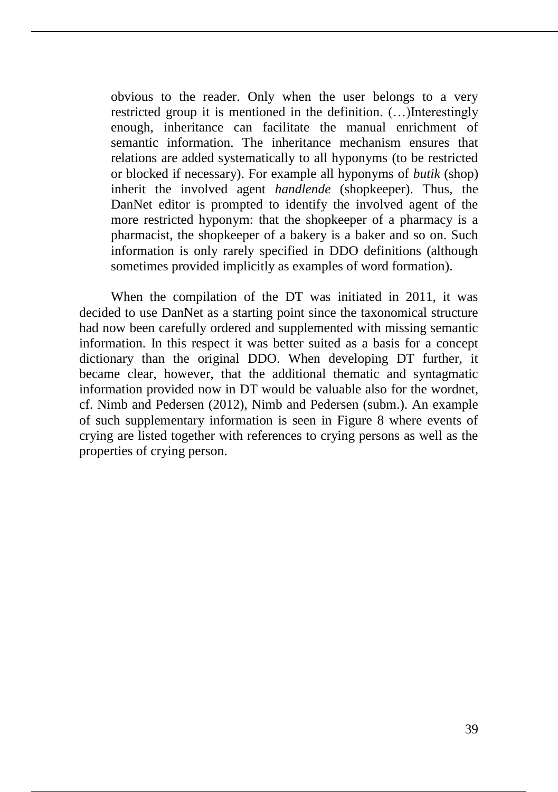obvious to the reader. Only when the user belongs to a very restricted group it is mentioned in the definition. (…)Interestingly enough, inheritance can facilitate the manual enrichment of semantic information. The inheritance mechanism ensures that relations are added systematically to all hyponyms (to be restricted or blocked if necessary). For example all hyponyms of *butik* (shop) inherit the involved agent *handlende* (shopkeeper). Thus, the DanNet editor is prompted to identify the involved agent of the more restricted hyponym: that the shopkeeper of a pharmacy is a pharmacist, the shopkeeper of a bakery is a baker and so on. Such information is only rarely specified in DDO definitions (although sometimes provided implicitly as examples of word formation).

When the compilation of the DT was initiated in 2011, it was decided to use DanNet as a starting point since the taxonomical structure had now been carefully ordered and supplemented with missing semantic information. In this respect it was better suited as a basis for a concept dictionary than the original DDO. When developing DT further, it became clear, however, that the additional thematic and syntagmatic information provided now in DT would be valuable also for the wordnet, cf. Nimb and Pedersen (2012), Nimb and Pedersen (subm.). An example of such supplementary information is seen in Figure 8 where events of crying are listed together with references to crying persons as well as the properties of crying person.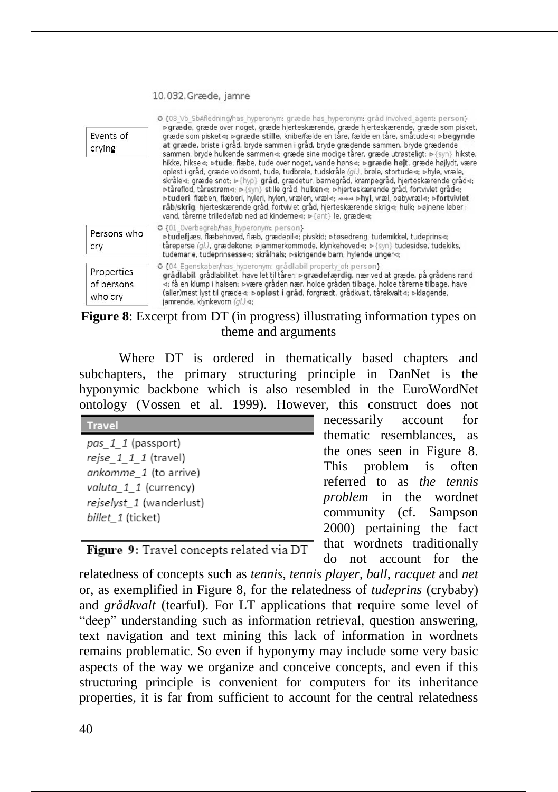#### 10.032.Græde, jamre

| Events of<br>crying                 | O {08 Vb SbAfledning/has hyperonym: græde has hyperonym: gråd involved agent: person}<br>⊳græde, græde over noget, græde hjerteskærende, græde hjerteskærende, græde som pisket,<br>græde som pisket⊲; ⊳græde stille, knibe/fælde en tåre, fælde en tåre, småtude⊲; ⊳begynde<br>at græde, briste i gråd, bryde sammen i gråd, bryde grædende sammen, bryde grædende<br>sammen, bryde hulkende sammen«; græde sine modige tårer, græde utrøsteligt; > {syn} hikste,<br>hikke, hikse<: >tude, flæbe, tude over noget, vande høns<: > græde højt, græde højlydt, være<br>opløst i gråd, græde voldsomt, tude, tudbrøle, tudskråle (gl.), brøle, stortude q; phyle, vræle,<br>skråle«; græde snot; » {hyp} gråd, grædetur, barnegråd, krampegråd, hjerteskærende gråd«;<br>Detåreflod, tårestrøm < > {syn} stille gråd, hulken < brierteskærende gråd, fortvivlet gråd <<br>>tuderi, flæben, flæberi, hyleri, hylen, vrælen, vræl⊲; →→→ >hyl, vræl, babyvræl⊲; >fortvivlet<br>råb/skrig, hjerteskærende gråd, fortvivlet gråd, hjerteskærende skrig⊲; hulk; ⊳øjnene løber i<br>vand, tårerne trillede/løb ned ad kinderne«; > {ant} le, græde«; |
|-------------------------------------|---------------------------------------------------------------------------------------------------------------------------------------------------------------------------------------------------------------------------------------------------------------------------------------------------------------------------------------------------------------------------------------------------------------------------------------------------------------------------------------------------------------------------------------------------------------------------------------------------------------------------------------------------------------------------------------------------------------------------------------------------------------------------------------------------------------------------------------------------------------------------------------------------------------------------------------------------------------------------------------------------------------------------------------------------------------------------------------------------------------------------------------------|
| Persons who<br>cry                  | O {01 Overbegreb/has hyperonym: person}<br>⊳tudefjæs, flæbehoved, flæb, grædepil⊲; pivskid; ⊳tøsedreng, tudemikkel, tudeprins⊲;<br>tåreperse (ql.), grædekone; >jammerkommode, klynkehoved< ; >{syn} tudesidse, tudekiks,<br>tudemarie, tudeprinsesse q; skrålhals; »skrigende barn, hylende unger q;                                                                                                                                                                                                                                                                                                                                                                                                                                                                                                                                                                                                                                                                                                                                                                                                                                       |
| Properties<br>of persons<br>who cry | C {04 Egenskaber/has hyperonym: grådlabil property of: person}<br>grådlabil, grådlabilitet, have let til tårer; ⊳grædefærdig, nær ved at græde, på grådens rand<br>⊲; få en klump i halsen; ⊳være gråden nær, holde gråden tilbage, holde tårerne tilbage, have<br>(aller)mest lyst til græde⊲; ⊳opløst i gråd, forgrædt, grådkvalt, tårekvalt⊲; ⊳klagende,<br>jamrende, klynkevorn (al.) <>                                                                                                                                                                                                                                                                                                                                                                                                                                                                                                                                                                                                                                                                                                                                                |

# **Figure 8**: Excerpt from DT (in progress) illustrating information types on theme and arguments

Where DT is ordered in thematically based chapters and subchapters, the primary structuring principle in DanNet is the hyponymic backbone which is also resembled in the EuroWordNet ontology (Vossen et al. 1999). However, this construct does not

| <b>Travel</b>                                                                                                            |  |
|--------------------------------------------------------------------------------------------------------------------------|--|
| pas 1 1 (passport)<br>rejse_1_1_1 (travel)<br>ankomme_1 (to arrive)<br>valuta 1 1 (currency)<br>rejselyst_1 (wanderlust) |  |
| billet 1 (ticket)                                                                                                        |  |

necessarily account for thematic resemblances, as the ones seen in Figure 8. This problem is often referred to as *the tennis problem* in the wordnet community (cf. Sampson 2000) pertaining the fact that wordnets traditionally do not account for the

Figure 9: Travel concepts related via DT

relatedness of concepts such as *tennis*, *tennis player, ball*, *racquet* and *net* or, as exemplified in Figure 8, for the relatedness of *tudeprins* (crybaby) and *grådkvalt* (tearful). For LT applications that require some level of "deep" understanding such as information retrieval, question answering, text navigation and text mining this lack of information in wordnets remains problematic. So even if hyponymy may include some very basic aspects of the way we organize and conceive concepts, and even if this structuring principle is convenient for computers for its inheritance properties, it is far from sufficient to account for the central relatedness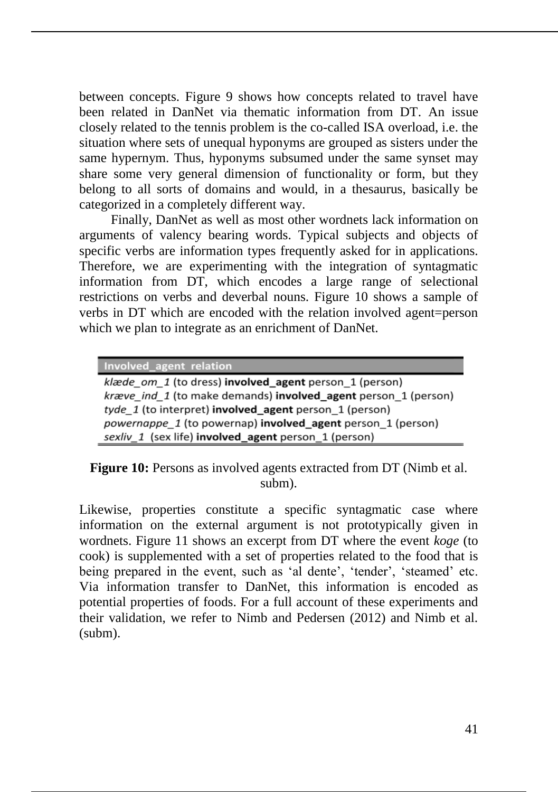between concepts. Figure 9 shows how concepts related to travel have been related in DanNet via thematic information from DT. An issue closely related to the tennis problem is the co-called ISA overload, i.e. the situation where sets of unequal hyponyms are grouped as sisters under the same hypernym. Thus, hyponyms subsumed under the same synset may share some very general dimension of functionality or form, but they belong to all sorts of domains and would, in a thesaurus, basically be categorized in a completely different way.

Finally, DanNet as well as most other wordnets lack information on arguments of valency bearing words. Typical subjects and objects of specific verbs are information types frequently asked for in applications. Therefore, we are experimenting with the integration of syntagmatic information from DT, which encodes a large range of selectional restrictions on verbs and deverbal nouns. Figure 10 shows a sample of verbs in DT which are encoded with the relation involved agent=person which we plan to integrate as an enrichment of DanNet.

Involved\_agent relation

klæde om 1 (to dress) involved agent person 1 (person) kræve\_ind\_1 (to make demands) involved\_agent person\_1 (person) tyde 1 (to interpret) involved agent person 1 (person) powernappe\_1 (to powernap) involved\_agent person\_1 (person) sexliv\_1 (sex life) involved\_agent person\_1 (person)

**Figure 10:** Persons as involved agents extracted from DT (Nimb et al.) subm).

Likewise, properties constitute a specific syntagmatic case where information on the external argument is not prototypically given in wordnets. Figure 11 shows an excerpt from DT where the event *koge* (to cook) is supplemented with a set of properties related to the food that is being prepared in the event, such as 'al dente', 'tender', 'steamed' etc. Via information transfer to DanNet, this information is encoded as potential properties of foods. For a full account of these experiments and their validation, we refer to Nimb and Pedersen (2012) and Nimb et al. (subm).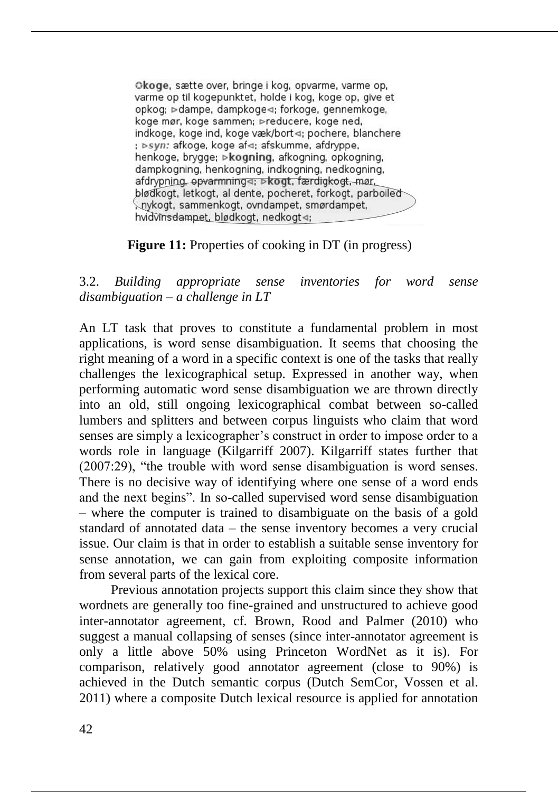Okoge, sætte over, bringe i kog, opvarme, varme op, varme op til kogepunktet, holde i kog, koge op, give et opkog; ⊳dampe, dampkoge⊲; forkoge, gennemkoge, koge mør, koge sammen; Preducere, koge ned, indkoge, koge ind, koge væk/bort <; pochere, blanchere ; ⊳syn: afkoge, koge af⊲; afskumme, afdryppe, henkoge, brygge; ⊳kogning, afkogning, opkogning, dampkogning, henkogning, indkogning, nedkogning, afdrypning, opvarmning⊲; ⊳kogt, færdigkogt, mør, blødkogt, letkogt, al dente, pocheret, forkogt, parboiled nykogt, sammenkogt, ovndampet, smørdampet, hvidvinsdampet, blødkogt, nedkogt <>

#### **Figure 11:** Properties of cooking in DT (in progress)

3.2. *Building appropriate sense inventories for word sense disambiguation* – *a challenge in LT*

An LT task that proves to constitute a fundamental problem in most applications, is word sense disambiguation. It seems that choosing the right meaning of a word in a specific context is one of the tasks that really challenges the lexicographical setup. Expressed in another way, when performing automatic word sense disambiguation we are thrown directly into an old, still ongoing lexicographical combat between so-called lumbers and splitters and between corpus linguists who claim that word senses are simply a lexicographer's construct in order to impose order to a words role in language (Kilgarriff 2007). Kilgarriff states further that (2007:29), "the trouble with word sense disambiguation is word senses. There is no decisive way of identifying where one sense of a word ends and the next begins". In so-called supervised word sense disambiguation – where the computer is trained to disambiguate on the basis of a gold standard of annotated data – the sense inventory becomes a very crucial issue. Our claim is that in order to establish a suitable sense inventory for sense annotation, we can gain from exploiting composite information from several parts of the lexical core.

Previous annotation projects support this claim since they show that wordnets are generally too fine-grained and unstructured to achieve good inter-annotator agreement, cf. Brown, Rood and Palmer (2010) who suggest a manual collapsing of senses (since inter-annotator agreement is only a little above 50% using Princeton WordNet as it is). For comparison, relatively good annotator agreement (close to 90%) is achieved in the Dutch semantic corpus (Dutch SemCor, Vossen et al. 2011) where a composite Dutch lexical resource is applied for annotation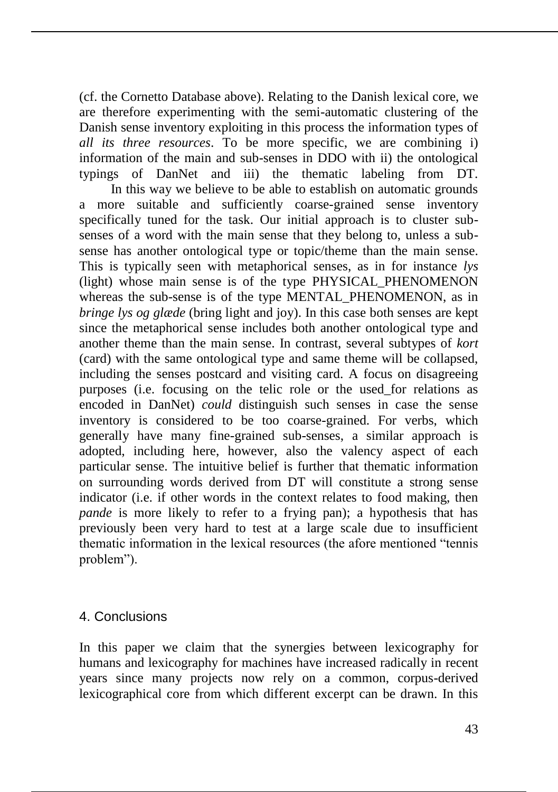(cf. the Cornetto Database above). Relating to the Danish lexical core, we are therefore experimenting with the semi-automatic clustering of the Danish sense inventory exploiting in this process the information types of *all its three resources*. To be more specific, we are combining i) information of the main and sub-senses in DDO with ii) the ontological typings of DanNet and iii) the thematic labeling from DT.

In this way we believe to be able to establish on automatic grounds a more suitable and sufficiently coarse-grained sense inventory specifically tuned for the task. Our initial approach is to cluster subsenses of a word with the main sense that they belong to, unless a subsense has another ontological type or topic/theme than the main sense. This is typically seen with metaphorical senses, as in for instance *lys* (light) whose main sense is of the type PHYSICAL\_PHENOMENON whereas the sub-sense is of the type MENTAL\_PHENOMENON, as in *bringe lys og glæde* (bring light and joy). In this case both senses are kept since the metaphorical sense includes both another ontological type and another theme than the main sense. In contrast, several subtypes of *kort* (card) with the same ontological type and same theme will be collapsed, including the senses postcard and visiting card. A focus on disagreeing purposes (i.e. focusing on the telic role or the used\_for relations as encoded in DanNet) *could* distinguish such senses in case the sense inventory is considered to be too coarse-grained. For verbs, which generally have many fine-grained sub-senses, a similar approach is adopted, including here, however, also the valency aspect of each particular sense. The intuitive belief is further that thematic information on surrounding words derived from DT will constitute a strong sense indicator (i.e. if other words in the context relates to food making, then *pande* is more likely to refer to a frying pan); a hypothesis that has previously been very hard to test at a large scale due to insufficient thematic information in the lexical resources (the afore mentioned "tennis problem").

# 4. Conclusions

In this paper we claim that the synergies between lexicography for humans and lexicography for machines have increased radically in recent years since many projects now rely on a common, corpus-derived lexicographical core from which different excerpt can be drawn. In this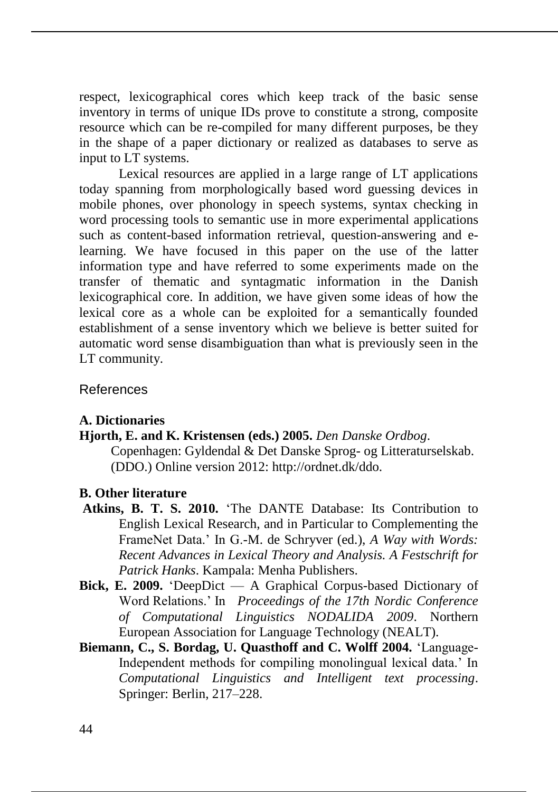respect, lexicographical cores which keep track of the basic sense inventory in terms of unique IDs prove to constitute a strong, composite resource which can be re-compiled for many different purposes, be they in the shape of a paper dictionary or realized as databases to serve as input to LT systems.

Lexical resources are applied in a large range of LT applications today spanning from morphologically based word guessing devices in mobile phones, over phonology in speech systems, syntax checking in word processing tools to semantic use in more experimental applications such as content-based information retrieval, question-answering and elearning. We have focused in this paper on the use of the latter information type and have referred to some experiments made on the transfer of thematic and syntagmatic information in the Danish lexicographical core. In addition, we have given some ideas of how the lexical core as a whole can be exploited for a semantically founded establishment of a sense inventory which we believe is better suited for automatic word sense disambiguation than what is previously seen in the LT community.

# References

# **A. Dictionaries**

#### **Hjorth, E. and K. Kristensen (eds.) 2005.** *Den Danske Ordbog*.

Copenhagen: Gyldendal & Det Danske Sprog- og Litteraturselskab. (DDO.) Online version 2012: http://ordnet.dk/ddo.

#### **B. Other literature**

- **Atkins, B. T. S. 2010.** 'The DANTE Database: Its Contribution to English Lexical Research, and in Particular to Complementing the FrameNet Data.' In G.-M. de Schryver (ed.), *A Way with Words: Recent Advances in Lexical Theory and Analysis. A Festschrift for Patrick Hanks*. Kampala: Menha Publishers.
- **Bick, E. 2009.** 'DeepDict A Graphical Corpus-based Dictionary of Word Relations.' In *Proceedings of the 17th Nordic Conference of Computational Linguistics NODALIDA 2009*. Northern European Association for Language Technology (NEALT).
- **Biemann, C., S. Bordag, U. Quasthoff and C. Wolff 2004.** 'Language-Independent methods for compiling monolingual lexical data.' In *Computational Linguistics and Intelligent text processing*. Springer: Berlin, 217–228.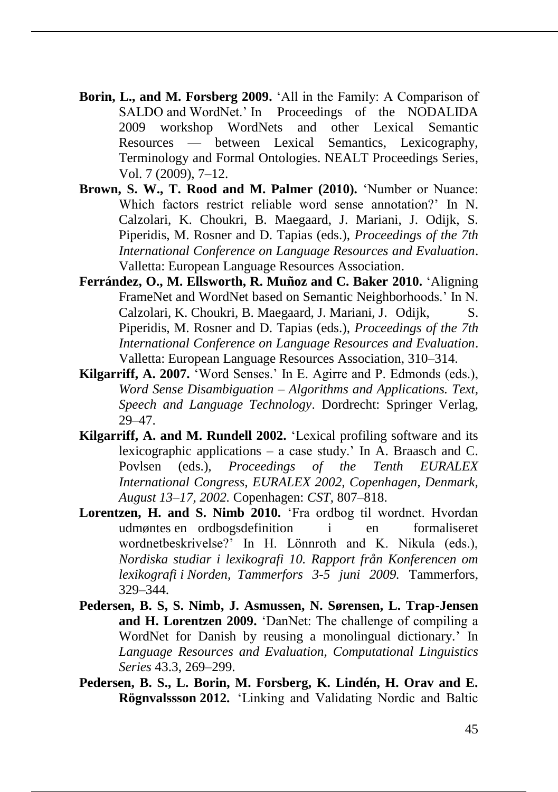- **Borin, L., and M. Forsberg 2009.** 'All in the Family: A Comparison of SALDO and WordNet.' In Proceedings of the NODALIDA 2009 workshop WordNets and other Lexical Semantic Resources — between Lexical Semantics, Lexicography, Terminology and Formal Ontologies. NEALT Proceedings Series, Vol. 7 (2009), 7–12.
- **Brown, S. W., T. Rood and M. Palmer (2010).** 'Number or Nuance: Which factors restrict reliable word sense annotation?' In N. Calzolari, K. Choukri, B. Maegaard, J. Mariani, J. Odijk, S. Piperidis, M. Rosner and D. Tapias (eds.), *Proceedings of the 7th International Conference on Language Resources and Evaluation*. Valletta: European Language Resources Association.
- **Ferrández, O., M. Ellsworth, R. Muñoz and C. Baker 2010.** 'Aligning FrameNet and WordNet based on Semantic Neighborhoods.' In N. Calzolari, K. Choukri, B. Maegaard, J. Mariani, J. Odijk, S. Piperidis, M. Rosner and D. Tapias (eds.), *Proceedings of the 7th International Conference on Language Resources and Evaluation*. Valletta: European Language Resources Association, 310–314.
- **Kilgarriff, A. 2007.** 'Word Senses.' In E. Agirre and P. Edmonds (eds.), *Word Sense Disambiguation – Algorithms and Applications. Text, Speech and Language Technology*. Dordrecht: Springer Verlag, 29–47.
- **Kilgarriff, A. and M. Rundell 2002.** 'Lexical profiling software and its lexicographic applications – a case study.' In A. Braasch and C. Povlsen (eds.), *Proceedings of the Tenth EURALEX International Congress, EURALEX 2002, Copenhagen, Denmark, August 13–17, 2002.* Copenhagen: *CST*, 807–818.
- Lorentzen, H. and S. Nimb 2010. **The S. All and S. Nimb 2010. The S. All and S. All and S. All and S. All and S. All and S. All and S. All and S. All and S. All and S. All and S. All and S. All and S. All and S. All and** udmøntes en ordbogsdefinition i en formaliseret wordnetbeskrivelse?' In H. Lönnroth and K. Nikula (eds.), *Nordiska studiar i lexikografi 10. Rapport från Konferencen om lexikografi i Norden, Tammerfors 3-5 juni 2009.* Tammerfors, 329–344.
- **Pedersen, B. S, S. Nimb, J. Asmussen, N. Sørensen, L. Trap-Jensen and H. Lorentzen 2009.** 'DanNet: The challenge of compiling a WordNet for Danish by reusing a monolingual dictionary.' In *Language Resources and Evaluation, Computational Linguistics Series* 43.3, 269–299.
- **Pedersen, B. S., L. Borin, M. Forsberg, K. Lindén, H. Orav and E. Rögnvalssson 2012.** 'Linking and Validating Nordic and Baltic